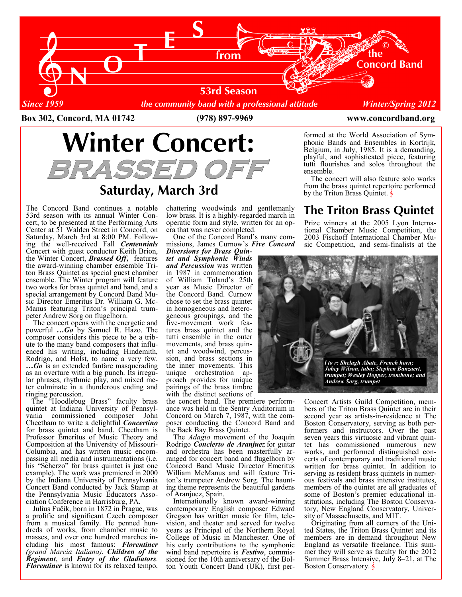

Box 302, Concord, MA 01742 (978) 897-9969 www.concordband.org

# Winter Concert: BRASSED OF

## Saturday, March 3rd

The Concord Band continues a notable 53rd season with its annual Winter Concert, to be presented at the Performing Arts Center at 51 Walden Street in Concord, on Saturday, March 3rd at 8:00 PM. Following the well-received Fall *Centennials* Concert with guest conductor Keith Brion, the Winter Concert, **Brassed Off**, features the award-winning chamber ensemble Triton Brass Quintet as special guest chamber ensemble. The Winter program will feature two works for brass quintet and band, and a special arrangement by Concord Band Music Director Emeritus Dr. William G. Mc-Manus featuring Triton's principal trumpeter Andrew Sorg on flugelhorn.

 The concert opens with the energetic and powerful  $\ldots$  Go by Samuel R. Hazo. The composer considers this piece to be a tribute to the many band composers that influenced his writing, including Hindemith, Rodrigo, and Holst, to name a very few.  $...$  Go is an extended fanfare masquerading as an overture with a big punch. Its irregular phrases, rhythmic play, and mixed meter culminate in a thunderous ending and ringing percussion.

 The "Hoodlebug Brass" faculty brass quintet at Indiana University of Pennsylvania commissioned composer John Cheetham to write a delightful *Concertino* for brass quintet and band. Cheetham is Professor Emeritus of Music Theory and Composition at the University of Missouri-Columbia, and has written music encompassing all media and instrumentations (i.e. his "Scherzo" for brass quintet is just one example). The work was premiered in 2000 by the Indiana University of Pennsylvania Concert Band conducted by Jack Stamp at the Pennsylvania Music Educators Association Conference in Harrisburg, PA.

 Julius Fučik, born in 1872 in Prague, was a prolific and significant Czech composer from a musical family. He penned hundreds of works, from chamber music to masses, and over one hundred marches including his most famous: Florentiner (grand Marcia Italiana), Children of the Regiment, and Entry of the Gladiators. Florentiner is known for its relaxed tempo,

chattering woodwinds and gentlemanly low brass. It is a highly-regarded march in operatic form and style, written for an opera that was never completed.

 One of the Concord Band's many commissions, James Curnow's Five Concord

Diversions for Brass Quintet and Symphonic Winds and Percussion was written in 1987 in commemoration of William Toland's 25th year as Music Director of the Concord Band. Curnow chose to set the brass quintet in homogeneous and heterogeneous groupings, and the five-movement work features brass quintet and the tutti ensemble in the outer movements, and brass quintet and woodwind, percussion, and brass sections in the inner movements. This unique orchestration approach provides for unique pairings of the brass timbre with the distinct sections of

the concert band. The premiere performance was held in the Sentry Auditorium in Concord on March 7, 1987, with the composer conducting the Concord Band and the Back Bay Brass Quintet.

The Adagio movement of the Joaquin Rodrigo Concierto de Aranjuez for guitar and orchestra has been masterfully arranged for concert band and flugelhorn by Concord Band Music Director Emeritus William McManus and will feature Triton's trumpeter Andrew Sorg. The haunting theme represents the beautiful gardens of Aranjuez, Spain.

 Internationally known award-winning contemporary English composer Edward Gregson has written music for film, television, and theater and served for twelve years as Principal of the Northern Royal College of Music in Manchester. One of his early contributions to the symphonic wind band repertoire is **Festivo**, commissioned for the 10th anniversary of the Bolton Youth Concert Band (UK), first performed at the World Association of Symphonic Bands and Ensembles in Kortrijk, Belgium, in July, 1985. It is a demanding, playful, and sophisticated piece, featuring tutti flourishes and solos throughout the ensemble.

 The concert will also feature solo works from the brass quintet repertoire performed by the Triton Brass Quintet.  $\frac{1}{2}$ 

## The Triton Brass Quintet

Prize winners at the 2005 Lyon International Chamber Music Competition, the 2003 Fischoff International Chamber Music Competition, and semi-finalists at the



Concert Artists Guild Competition, members of the Triton Brass Quintet are in their second year as artists-in-residence at The Boston Conservatory, serving as both performers and instructors. Over the past seven years this virtuosic and vibrant quintet has commissioned numerous new works, and performed distinguished concerts of contemporary and traditional music written for brass quintet. In addition to serving as resident brass quintets in numerous festivals and brass intensive institutes, members of the quintet are all graduates of some of Boston's premier educational institutions, including The Boston Conservatory, New England Conservatory, University of Massachusetts, and MIT.

 Originating from all corners of the United States, the Triton Brass Quintet and its members are in demand throughout New England as versatile freelance. This summer they will serve as faculty for the 2012 Summer Brass Intensive, July 8–21, at The Boston Conservatory.